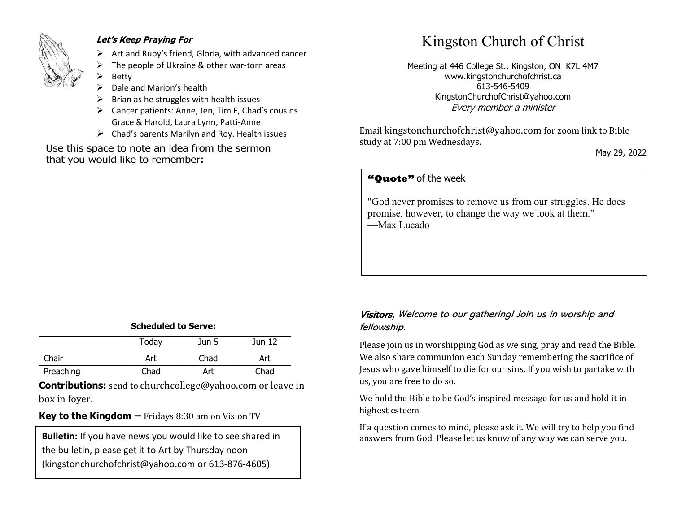

#### **Let's Keep Praying For**

- $\triangleright$  Art and Ruby's friend, Gloria, with advanced cancer
- The people of Ukraine & other war-torn areas
- **Betty**
- Dale and Marion's health
- ➢ Brian as he struggles with health issues
- ➢ Cancer patients: Anne, Jen, Tim F, Chad's cousins Grace & Harold, Laura Lynn, Patti-Anne
- $\triangleright$  Chad's parents Marilyn and Roy. Health issues

Use this space to note an idea from the sermon that you would like to remember:

# Kingston Church of Christ

Meeting at 446 College St., Kingston, ON K7L 4M7 www.kingstonchurchofchrist.ca 613-546-5409 KingstonChurchofChrist@yahoo.com Every member a minister

Email [kingstonchurchofchrist@yahoo.com](mailto:kingstonchurchofchrist@yahoo.com) for zoom link to Bible study at 7:00 pm Wednesdays.

May 29, 2022

### **"Quote"** of the week **"Quote"** of the week

 $\overline{a}$  homorrow, and pays with disgrace; he promises pleasure, and pays pleasure, and pays  $\overline{a}$ "God never promises to remove us from our struggles. He does promise, however, to change the way we look at them." —Max Lucado

#### **Scheduled to Serve:**

|           | Today | Jun 5 | Jun 12 |
|-----------|-------|-------|--------|
| Chair     | Art   | Chad  | Art    |
| Preaching | Chad  | Art   | Chad   |

**Contributions:** send to [churchcollege@yahoo.com](mailto:churchcollege@yahoo.com) or leave in box in foyer.

#### **Key to the Kingdom –** Fridays 8:30 am on Vision TV

the bulletin, please get it to Art by Thursday noon (kingstonchurchofchrist@yahoo.com or 613-876-4605).

#### Visitors, Welcome to our gathering! Join us in worship and fellowship.

Please join us in worshipping God as we sing, pray and read the Bible. We also share communion each Sunday remembering the sacrifice of Jesus who gave himself to die for our sins. If you wish to partake with us, you are free to do so.

We hold the Bible to be God's inspired message for us and hold it in highest esteem.

If a question comes to mind, please ask it. We will try to help you find **Bulletin:** If you have news you would like to see shared in answers from God. Please let us know of any way we can serve you.